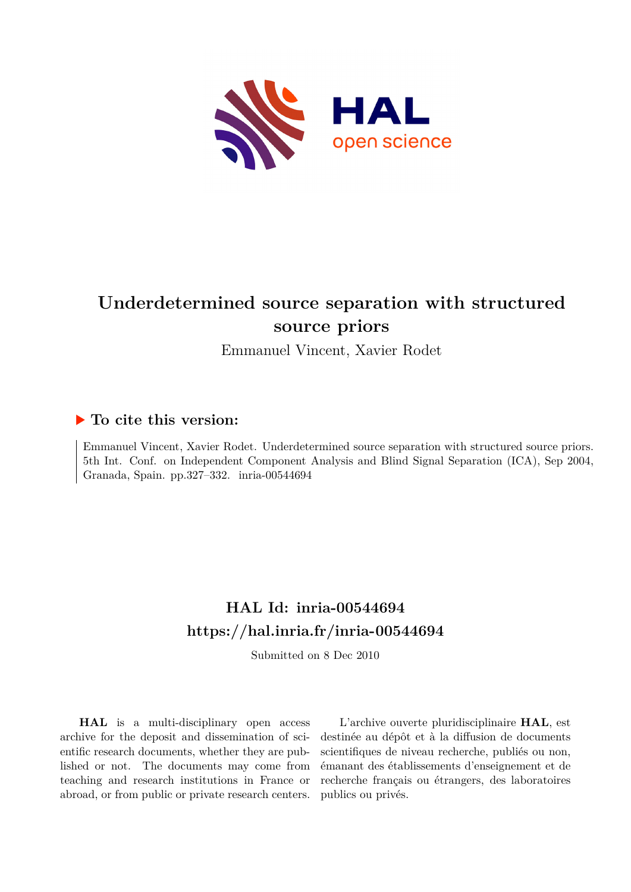

# **Underdetermined source separation with structured source priors**

Emmanuel Vincent, Xavier Rodet

# **To cite this version:**

Emmanuel Vincent, Xavier Rodet. Underdetermined source separation with structured source priors. 5th Int. Conf. on Independent Component Analysis and Blind Signal Separation (ICA), Sep 2004, Granada, Spain. pp.327-332. inria-00544694

# **HAL Id: inria-00544694 <https://hal.inria.fr/inria-00544694>**

Submitted on 8 Dec 2010

**HAL** is a multi-disciplinary open access archive for the deposit and dissemination of scientific research documents, whether they are published or not. The documents may come from teaching and research institutions in France or abroad, or from public or private research centers.

L'archive ouverte pluridisciplinaire **HAL**, est destinée au dépôt et à la diffusion de documents scientifiques de niveau recherche, publiés ou non, émanant des établissements d'enseignement et de recherche français ou étrangers, des laboratoires publics ou privés.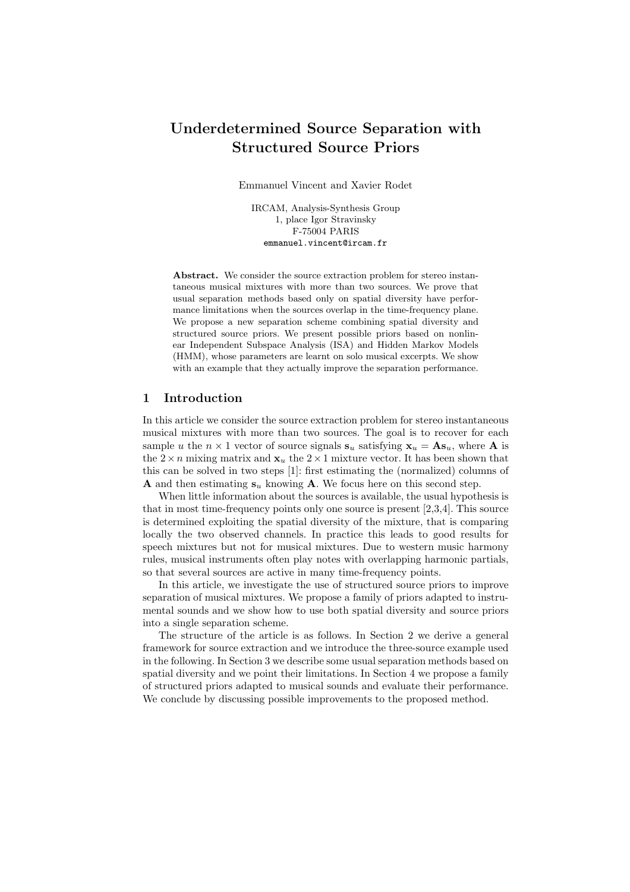# Underdetermined Source Separation with Structured Source Priors

Emmanuel Vincent and Xavier Rodet

IRCAM, Analysis-Synthesis Group 1, place Igor Stravinsky F-75004 PARIS emmanuel.vincent@ircam.fr

Abstract. We consider the source extraction problem for stereo instantaneous musical mixtures with more than two sources. We prove that usual separation methods based only on spatial diversity have performance limitations when the sources overlap in the time-frequency plane. We propose a new separation scheme combining spatial diversity and structured source priors. We present possible priors based on nonlinear Independent Subspace Analysis (ISA) and Hidden Markov Models (HMM), whose parameters are learnt on solo musical excerpts. We show with an example that they actually improve the separation performance.

# 1 Introduction

In this article we consider the source extraction problem for stereo instantaneous musical mixtures with more than two sources. The goal is to recover for each sample u the  $n \times 1$  vector of source signals  $s_u$  satisfying  $x_u = As_u$ , where **A** is the  $2 \times n$  mixing matrix and  $x_u$  the  $2 \times 1$  mixture vector. It has been shown that this can be solved in two steps [1]: first estimating the (normalized) columns of **A** and then estimating  $s_u$  knowing **A**. We focus here on this second step.

When little information about the sources is available, the usual hypothesis is that in most time-frequency points only one source is present [2,3,4]. This source is determined exploiting the spatial diversity of the mixture, that is comparing locally the two observed channels. In practice this leads to good results for speech mixtures but not for musical mixtures. Due to western music harmony rules, musical instruments often play notes with overlapping harmonic partials, so that several sources are active in many time-frequency points.

In this article, we investigate the use of structured source priors to improve separation of musical mixtures. We propose a family of priors adapted to instrumental sounds and we show how to use both spatial diversity and source priors into a single separation scheme.

The structure of the article is as follows. In Section 2 we derive a general framework for source extraction and we introduce the three-source example used in the following. In Section 3 we describe some usual separation methods based on spatial diversity and we point their limitations. In Section 4 we propose a family of structured priors adapted to musical sounds and evaluate their performance. We conclude by discussing possible improvements to the proposed method.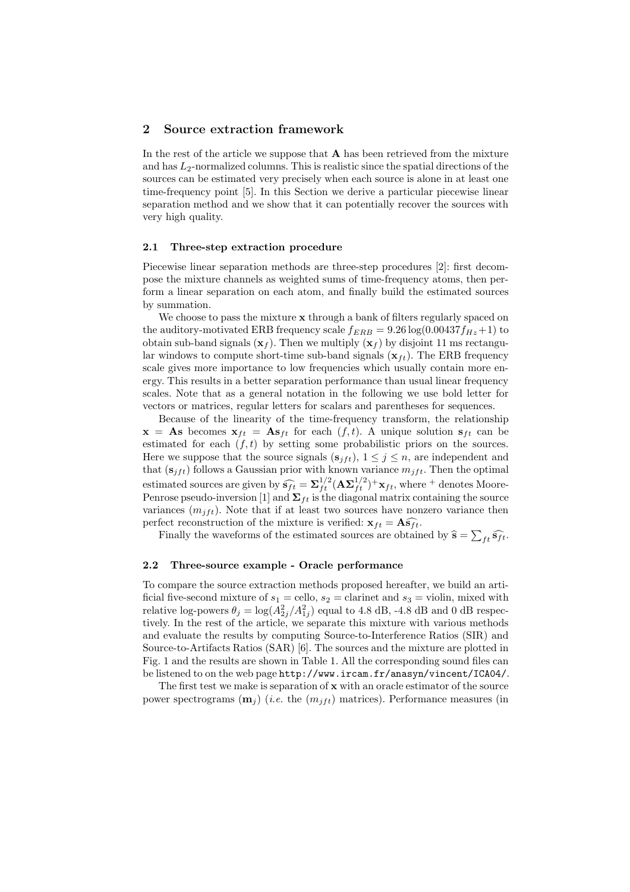# 2 Source extraction framework

In the rest of the article we suppose that  $A$  has been retrieved from the mixture and has  $L_2$ -normalized columns. This is realistic since the spatial directions of the sources can be estimated very precisely when each source is alone in at least one time-frequency point [5]. In this Section we derive a particular piecewise linear separation method and we show that it can potentially recover the sources with very high quality.

#### 2.1 Three-step extraction procedure

Piecewise linear separation methods are three-step procedures [2]: first decompose the mixture channels as weighted sums of time-frequency atoms, then perform a linear separation on each atom, and finally build the estimated sources by summation.

We choose to pass the mixture  $x$  through a bank of filters regularly spaced on the auditory-motivated ERB frequency scale  $f_{ERB} = 9.26 \log(0.00437 f_{Hz} + 1)$  to obtain sub-band signals  $(\mathbf{x}_f)$ . Then we multiply  $(\mathbf{x}_f)$  by disjoint 11 ms rectangular windows to compute short-time sub-band signals  $(\mathbf{x}_{ft})$ . The ERB frequency scale gives more importance to low frequencies which usually contain more energy. This results in a better separation performance than usual linear frequency scales. Note that as a general notation in the following we use bold letter for vectors or matrices, regular letters for scalars and parentheses for sequences.

Because of the linearity of the time-frequency transform, the relationship  $\mathbf{x} = \mathbf{A}\mathbf{s}$  becomes  $\mathbf{x}_{ft} = \mathbf{A}\mathbf{s}_{ft}$  for each  $(f, t)$ . A unique solution  $\mathbf{s}_{ft}$  can be estimated for each  $(f, t)$  by setting some probabilistic priors on the sources. Here we suppose that the source signals  $(s_{jft}), 1 \leq j \leq n$ , are independent and that  $(s_{jft})$  follows a Gaussian prior with known variance  $m_{jft}$ . Then the optimal estimated sources are given by  $\widehat{s_{ft}} = \sum_{f_t}^{1/2}$  $_{ft}^{1/2}(\mathbf{A}\mathbf{\Sigma}_{ft}^{1/2})^{+}\mathbf{x}_{ft}$ , where <sup>+</sup> denotes Moore-Penrose pseudo-inversion [1] and  $\boldsymbol{\Sigma}_{ft}$  is the diagonal matrix containing the source variances  $(m_{ift})$ . Note that if at least two sources have nonzero variance then perfect reconstruction of the mixture is verified:  $\mathbf{x}_{ft} = \mathbf{A}\widehat{\mathbf{s}_{ft}}$ .

Finally the waveforms of the estimated sources are obtained by  $\hat{\mathbf{s}} = \sum_{ft} \hat{\mathbf{s}_{ft}}$ .

#### 2.2 Three-source example - Oracle performance

To compare the source extraction methods proposed hereafter, we build an artificial five-second mixture of  $s_1 =$  cello,  $s_2 =$  clarinet and  $s_3 =$  violin, mixed with relative log-powers  $\theta_j = \log(A_{2j}^2/A_{1j}^2)$  equal to 4.8 dB, -4.8 dB and 0 dB respectively. In the rest of the article, we separate this mixture with various methods and evaluate the results by computing Source-to-Interference Ratios (SIR) and Source-to-Artifacts Ratios (SAR) [6]. The sources and the mixture are plotted in Fig. 1 and the results are shown in Table 1. All the corresponding sound files can be listened to on the web page http://www.ircam.fr/anasyn/vincent/ICA04/.

The first test we make is separation of  $x$  with an oracle estimator of the source power spectrograms  $(\mathbf{m}_i)$  (i.e. the  $(m_{ift})$  matrices). Performance measures (in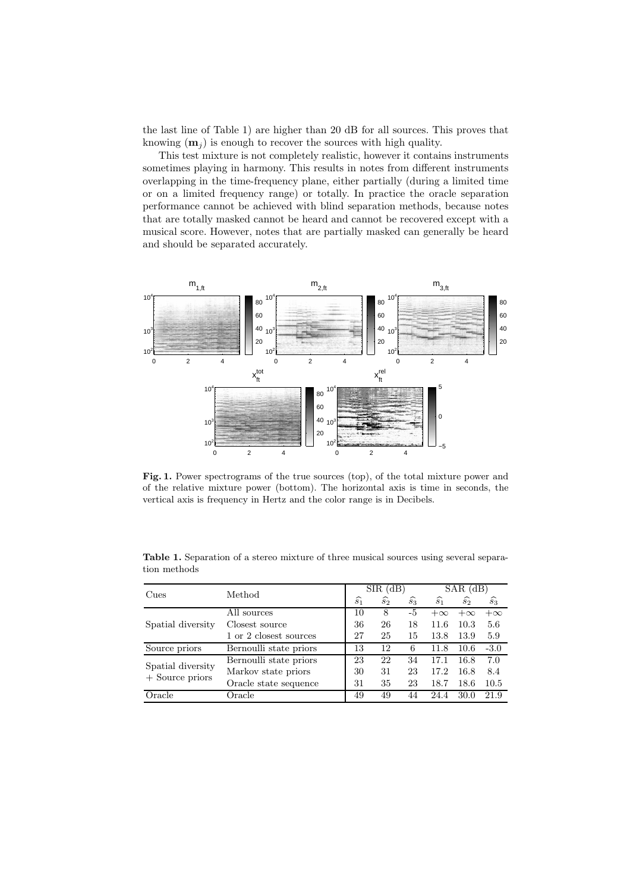the last line of Table 1) are higher than 20 dB for all sources. This proves that knowing  $(m_i)$  is enough to recover the sources with high quality.

This test mixture is not completely realistic, however it contains instruments sometimes playing in harmony. This results in notes from different instruments overlapping in the time-frequency plane, either partially (during a limited time or on a limited frequency range) or totally. In practice the oracle separation performance cannot be achieved with blind separation methods, because notes that are totally masked cannot be heard and cannot be recovered except with a musical score. However, notes that are partially masked can generally be heard and should be separated accurately.



Fig. 1. Power spectrograms of the true sources (top), of the total mixture power and of the relative mixture power (bottom). The horizontal axis is time in seconds, the vertical axis is frequency in Hertz and the color range is in Decibels.

| Cues                                   | Method                 | $SIR$ (dB)      |                 |             | $SAR$ (dB)      |                 |                 |
|----------------------------------------|------------------------|-----------------|-----------------|-------------|-----------------|-----------------|-----------------|
|                                        |                        | $\widehat{s_1}$ | $\widehat{s_2}$ | $\hat{s_3}$ | $\widehat{s_1}$ | $\widehat{s_2}$ | $\widehat{s}_3$ |
| Spatial diversity                      | All sources            | 10              | 8               | -5          | $+\infty$       | $+\infty$       | $+\infty$       |
|                                        | Closest source         | 36              | 26              | 18          | 11.6            | 10.3            | 5.6             |
|                                        | 1 or 2 closest sources | 27              | 25              | 15          | 13.8            | 13.9            | 5.9             |
| Source priors                          | Bernoulli state priors | 13              | 12              | 6           | 11.8            | 10.6            | $-3.0$          |
| Spatial diversity<br>$+$ Source priors | Bernoulli state priors | 23              | 22              | 34          | 17.1            | 16.8            | 7.0             |
|                                        | Markov state priors    | 30              | 31              | 23          | 17.2            | 16.8            | 8.4             |
|                                        | Oracle state sequence  | 31              | 35              | 23          | 18.7            | 18.6            | 10.5            |
| Oracle                                 | Oracle                 | 49              | 49              | 44          | 24.4            | 30.0            | 21.9            |

Table 1. Separation of a stereo mixture of three musical sources using several separation methods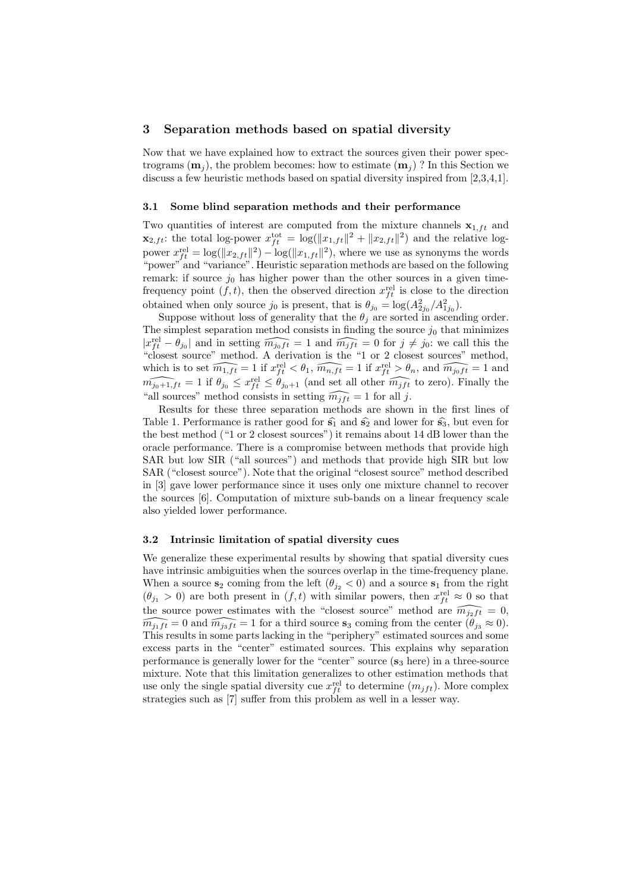# 3 Separation methods based on spatial diversity

Now that we have explained how to extract the sources given their power spectrograms  $(m_i)$ , the problem becomes: how to estimate  $(m_i)$ ? In this Section we discuss a few heuristic methods based on spatial diversity inspired from [2,3,4,1].

#### 3.1 Some blind separation methods and their performance

Two quantities of interest are computed from the mixture channels  $x_{1,ft}$  and  $\mathbf{x}_{2,ft}$ : the total log-power  $x_{ft}^{\text{tot}} = \log(||x_{1,ft}||^2 + ||x_{2,ft}||^2)$  and the relative logpower  $x_{ft}^{\text{rel}} = \log(\|x_{2,ft}\|^2) - \log(\|x_{1,ft}\|^2)$ , where we use as synonyms the words "power" and "variance". Heuristic separation methods are based on the following remark: if source  $j_0$  has higher power than the other sources in a given timefrequency point  $(f, t)$ , then the observed direction  $x_{ft}^{\text{rel}}$  is close to the direction obtained when only source  $j_0$  is present, that is  $\theta_{j_0} = \log(A_{2j_0}^2/A_{1j_0}^2)$ .

Suppose without loss of generality that the  $\theta_j$  are sorted in ascending order. The simplest separation method consists in finding the source  $j_0$  that minimizes  $|x_{ft}^{\text{rel}} - \theta_{j_0}|$  and in setting  $\widehat{m_{j_0ft}} = 1$  and  $\widehat{m_{jft}} = 0$  for  $j \neq j_0$ : we call this the "closest source" method. A derivation is the "1 or 2 closest sources" method, which is to set  $\widehat{m_{1,ft}} = 1$  if  $x_{ft}^{\text{rel}} < \theta_1$ ,  $\widehat{m_{n,ft}} = 1$  if  $x_{ft}^{\text{rel}} > \theta_n$ , and  $\widehat{m_{j_0ft}} = 1$  and  $m_{j_0+1,ft} = 1$  if  $\theta_{j_0} \leq x_{ft}^{\text{rel}} \leq \theta_{j_0+1}$  (and set all other  $\widehat{m_{jft}}$  to zero). Finally the "all sources" method consists in setting  $\widehat{m_{ift}} = 1$  for all j.

Results for these three separation methods are shown in the first lines of Table 1. Performance is rather good for  $\hat{s}_1$  and  $\hat{s}_2$  and lower for  $\hat{s}_3$ , but even for the best method ("1 or 2 closest sources") it remains about 14 dB lower than the oracle performance. There is a compromise between methods that provide high SAR but low SIR ("all sources") and methods that provide high SIR but low SAR ("closest source"). Note that the original "closest source" method described in [3] gave lower performance since it uses only one mixture channel to recover the sources [6]. Computation of mixture sub-bands on a linear frequency scale also yielded lower performance.

#### 3.2 Intrinsic limitation of spatial diversity cues

We generalize these experimental results by showing that spatial diversity cues have intrinsic ambiguities when the sources overlap in the time-frequency plane. When a source  $s_2$  coming from the left  $(\theta_{j_2} < 0)$  and a source  $s_1$  from the right  $(\theta_{j_1} > 0)$  are both present in  $(f, t)$  with similar powers, then  $x_{ft}^{\text{rel}} \approx 0$  so that the source power estimates with the "closest source" method are  $\widehat{m_{j_2ft}} = 0$ ,  $\widehat{m_{j_1ft}} = 0$  and  $\widehat{m_{j_3ft}} = 1$  for a third source  $s_3$  coming from the center  $(\theta_{j_3} \approx 0)$ . This results in some parts lacking in the "periphery" estimated sources and some excess parts in the "center" estimated sources. This explains why separation performance is generally lower for the "center" source  $(s_3 \text{ here})$  in a three-source mixture. Note that this limitation generalizes to other estimation methods that use only the single spatial diversity cue  $x_{ft}^{\text{rel}}$  to determine  $(m_{ift})$ . More complex strategies such as [7] suffer from this problem as well in a lesser way.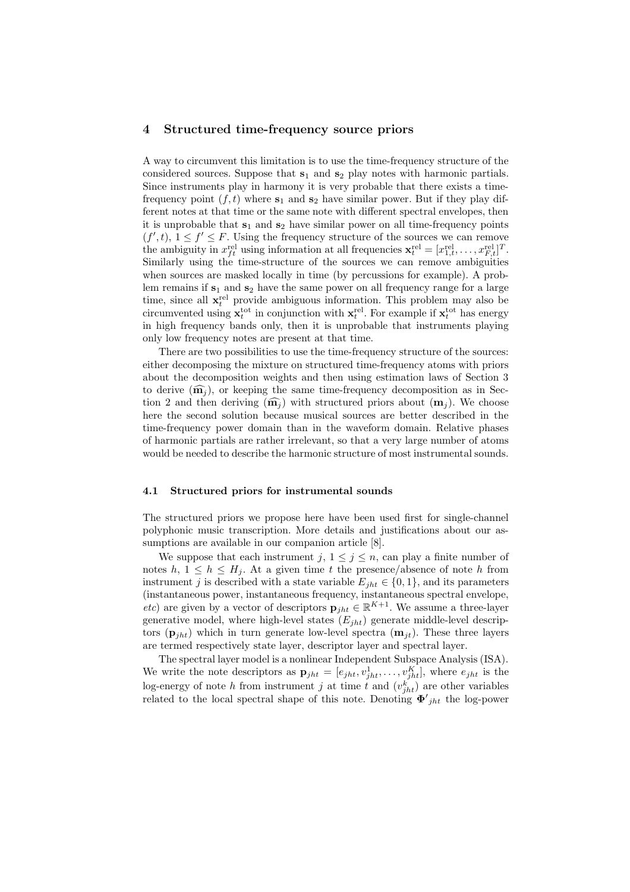### 4 Structured time-frequency source priors

A way to circumvent this limitation is to use the time-frequency structure of the considered sources. Suppose that  $s_1$  and  $s_2$  play notes with harmonic partials. Since instruments play in harmony it is very probable that there exists a timefrequency point  $(f, t)$  where  $s_1$  and  $s_2$  have similar power. But if they play different notes at that time or the same note with different spectral envelopes, then it is unprobable that  $s_1$  and  $s_2$  have similar power on all time-frequency points  $(f',t), 1 \leq f' \leq F$ . Using the frequency structure of the sources we can remove the ambiguity in  $x_{ft}^{\text{rel}}$  using information at all frequencies  $\mathbf{x}_{t}^{\text{rel}} = [x_{1,t}^{\text{rel}}, \dots, x_{F,t}^{\text{rel}}]^T$ . Similarly using the time-structure of the sources we can remove ambiguities when sources are masked locally in time (by percussions for example). A problem remains if  $s_1$  and  $s_2$  have the same power on all frequency range for a large time, since all  $\mathbf{x}_t^{\text{rel}}$  provide ambiguous information. This problem may also be circumvented using  $\mathbf{x}_t^{\text{tot}}$  in conjunction with  $\mathbf{x}_t^{\text{rel}}$ . For example if  $\mathbf{x}_t^{\text{tot}}$  has energy in high frequency bands only, then it is unprobable that instruments playing only low frequency notes are present at that time.

There are two possibilities to use the time-frequency structure of the sources: either decomposing the mixture on structured time-frequency atoms with priors about the decomposition weights and then using estimation laws of Section 3 to derive  $(\widehat{\mathbf{m}}_i)$ , or keeping the same time-frequency decomposition as in Section 2 and then deriving  $(\widehat{\mathbf{m}}_i)$  with structured priors about  $(\mathbf{m}_i)$ . We choose here the second solution because musical sources are better described in the time-frequency power domain than in the waveform domain. Relative phases of harmonic partials are rather irrelevant, so that a very large number of atoms would be needed to describe the harmonic structure of most instrumental sounds.

#### 4.1 Structured priors for instrumental sounds

The structured priors we propose here have been used first for single-channel polyphonic music transcription. More details and justifications about our assumptions are available in our companion article [8].

We suppose that each instrument j,  $1 \leq j \leq n$ , can play a finite number of notes  $h, 1 \leq h \leq H_i$ . At a given time t the presence/absence of note h from instrument j is described with a state variable  $E_{iht} \in \{0, 1\}$ , and its parameters (instantaneous power, instantaneous frequency, instantaneous spectral envelope, *etc*) are given by a vector of descriptors  $\mathbf{p}_{jht} \in \mathbb{R}^{K+1}$ . We assume a three-layer generative model, where high-level states  $(E_{iht})$  generate middle-level descriptors  $(\mathbf{p}_{iht})$  which in turn generate low-level spectra  $(\mathbf{m}_{it})$ . These three layers are termed respectively state layer, descriptor layer and spectral layer.

The spectral layer model is a nonlinear Independent Subspace Analysis (ISA). We write the note descriptors as  $\mathbf{p}_{jht} = [e_{jht}, v_{jht}^1, \ldots, v_{jht}^K]$ , where  $e_{jht}$  is the log-energy of note h from instrument j at time t and  $(v_{jht}^k)$  are other variables related to the local spectral shape of this note. Denoting  $\Phi'_{jht}$  the log-power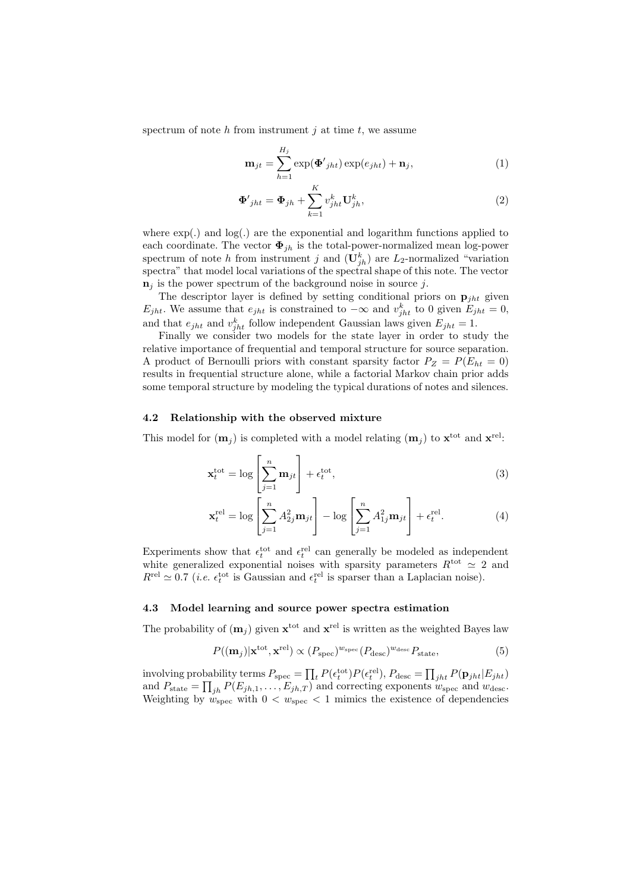spectrum of note h from instrument j at time t, we assume

$$
\mathbf{m}_{jt} = \sum_{h=1}^{H_j} \exp(\mathbf{\Phi'}_{jht}) \exp(e_{jht}) + \mathbf{n}_j,\tag{1}
$$

$$
\mathbf{\Phi'}_{jht} = \mathbf{\Phi}_{jh} + \sum_{k=1}^{K} v_{jht}^k \mathbf{U}_{jh}^k,
$$
\n(2)

where  $\exp(.)$  and  $\log(.)$  are the exponential and logarithm functions applied to each coordinate. The vector  $\Phi_{ih}$  is the total-power-normalized mean log-power spectrum of note h from instrument j and  $(\mathbf{U}_{jh}^k)$  are  $L_2$ -normalized "variation" spectra" that model local variations of the spectral shape of this note. The vector  $n_i$  is the power spectrum of the background noise in source j.

The descriptor layer is defined by setting conditional priors on  $\mathbf{p}_{iht}$  given  $E_{jht}$ . We assume that  $e_{jht}$  is constrained to  $-\infty$  and  $v_{jht}^k$  to 0 given  $E_{jht} = 0$ , and that  $e_{jht}$  and  $v_{jht}^k$  follow independent Gaussian laws given  $E_{jht} = 1$ .

Finally we consider two models for the state layer in order to study the relative importance of frequential and temporal structure for source separation. A product of Bernoulli priors with constant sparsity factor  $P_Z = P(E_{ht} = 0)$ results in frequential structure alone, while a factorial Markov chain prior adds some temporal structure by modeling the typical durations of notes and silences.

#### 4.2 Relationship with the observed mixture

This model for  $(m_j)$  is completed with a model relating  $(m_j)$  to  $\mathbf{x}^{\text{tot}}$  and  $\mathbf{x}^{\text{rel}}$ .

$$
\mathbf{x}_t^{\text{tot}} = \log \left[ \sum_{j=1}^n \mathbf{m}_{jt} \right] + \epsilon_t^{\text{tot}},\tag{3}
$$

$$
\mathbf{x}_t^{\text{rel}} = \log \left[ \sum_{j=1}^n A_{2j}^2 \mathbf{m}_{jt} \right] - \log \left[ \sum_{j=1}^n A_{1j}^2 \mathbf{m}_{jt} \right] + \epsilon_t^{\text{rel}}.
$$
 (4)

Experiments show that  $\epsilon_t^{\text{tot}}$  and  $\epsilon_t^{\text{rel}}$  can generally be modeled as independent white generalized exponential noises with sparsity parameters  $R<sup>tot</sup> \approx 2$  and  $R^{\text{rel}} \simeq 0.7$  (*i.e.*  $\epsilon_t^{\text{tot}}$  is Gaussian and  $\epsilon_t^{\text{rel}}$  is sparser than a Laplacian noise).

### 4.3 Model learning and source power spectra estimation

The probability of  $(m_j)$  given  $\mathbf{x}^{\text{tot}}$  and  $\mathbf{x}^{\text{rel}}$  is written as the weighted Bayes law

$$
P((\mathbf{m}_j)|\mathbf{x}^{\text{tot}},\mathbf{x}^{\text{rel}}) \propto (P_{\text{spec}})^{w_{\text{spec}}}(P_{\text{desc}})^{w_{\text{desc}}}P_{\text{state}},\tag{5}
$$

involving probability terms  $P_{\text{spec}} = \prod_t P(\epsilon_t^{\text{tot}}) P(\epsilon_t^{\text{rel}}), P_{\text{desc}} = \prod_{jht} P(\mathbf{p}_{jht} | E_{jht})$ and  $P_{\text{state}} = \prod_{jh} P(E_{jh,1}, \ldots, E_{jh,T})$  and correcting exponents  $w_{\text{spec}}$  and  $w_{\text{desc}}$ . Weighting by  $w_{\text{spec}}$  with  $0 < w_{\text{spec}} < 1$  mimics the existence of dependencies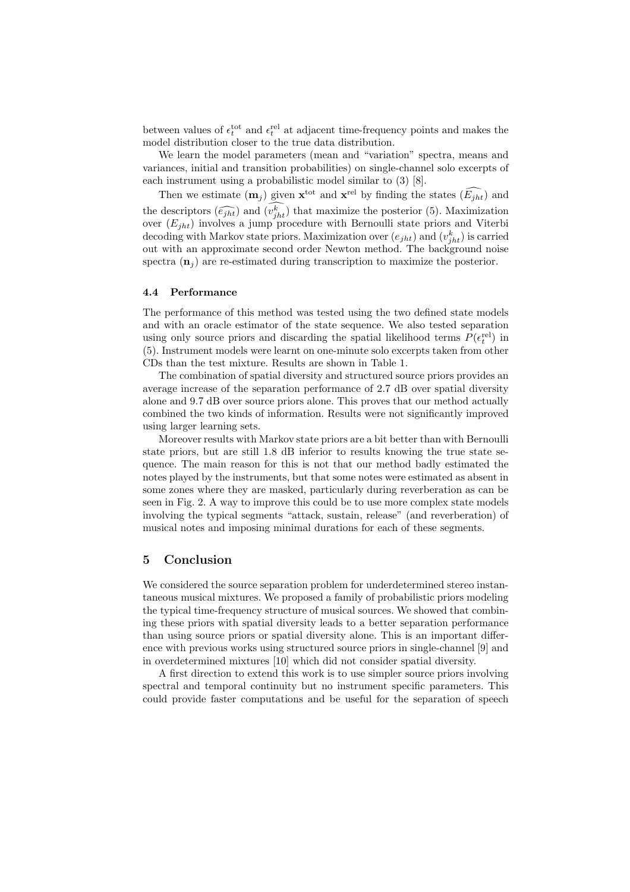between values of  $\epsilon_t^{\text{tot}}$  and  $\epsilon_t^{\text{rel}}$  at adjacent time-frequency points and makes the model distribution closer to the true data distribution.

We learn the model parameters (mean and "variation" spectra, means and variances, initial and transition probabilities) on single-channel solo excerpts of each instrument using a probabilistic model similar to (3) [8].

Then we estimate  $(m_j)$  given  $\mathbf{x}^{\text{tot}}$  and  $\mathbf{x}^{\text{rel}}$  by finding the states  $(\widehat{E_{jht}})$  and the descriptors  $(\widehat{e_{jht}})$  and  $(v_{jht}^k)$  that maximize the posterior (5). Maximization over  $(E_{jht})$  involves a jump procedure with Bernoulli state priors and Viterbi decoding with Markov state priors. Maximization over  $(e_{jht})$  and  $(v_{jht}^k)$  is carried out with an approximate second order Newton method. The background noise spectra  $(\mathbf{n}_i)$  are re-estimated during transcription to maximize the posterior.

#### 4.4 Performance

The performance of this method was tested using the two defined state models and with an oracle estimator of the state sequence. We also tested separation using only source priors and discarding the spatial likelihood terms  $P(\epsilon_t^{\text{rel}})$  in (5). Instrument models were learnt on one-minute solo excerpts taken from other CDs than the test mixture. Results are shown in Table 1.

The combination of spatial diversity and structured source priors provides an average increase of the separation performance of 2.7 dB over spatial diversity alone and 9.7 dB over source priors alone. This proves that our method actually combined the two kinds of information. Results were not significantly improved using larger learning sets.

Moreover results with Markov state priors are a bit better than with Bernoulli state priors, but are still 1.8 dB inferior to results knowing the true state sequence. The main reason for this is not that our method badly estimated the notes played by the instruments, but that some notes were estimated as absent in some zones where they are masked, particularly during reverberation as can be seen in Fig. 2. A way to improve this could be to use more complex state models involving the typical segments "attack, sustain, release" (and reverberation) of musical notes and imposing minimal durations for each of these segments.

# 5 Conclusion

We considered the source separation problem for underdetermined stereo instantaneous musical mixtures. We proposed a family of probabilistic priors modeling the typical time-frequency structure of musical sources. We showed that combining these priors with spatial diversity leads to a better separation performance than using source priors or spatial diversity alone. This is an important difference with previous works using structured source priors in single-channel [9] and in overdetermined mixtures [10] which did not consider spatial diversity.

A first direction to extend this work is to use simpler source priors involving spectral and temporal continuity but no instrument specific parameters. This could provide faster computations and be useful for the separation of speech